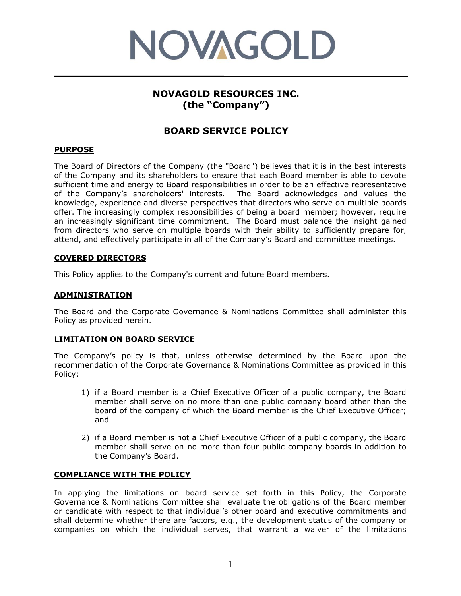

# **NOVAGOLD RESOURCES INC. (the "Company")**

## **BOARD SERVICE POLICY**

## **PURPOSE**

The Board of Directors of the Company (the "Board") believes that it is in the best interests of the Company and its shareholders to ensure that each Board member is able to devote sufficient time and energy to Board responsibilities in order to be an effective representative of the Company's shareholders' interests. The Board acknowledges and values the knowledge, experience and diverse perspectives that directors who serve on multiple boards offer. The increasingly complex responsibilities of being a board member; however, require an increasingly significant time commitment. The Board must balance the insight gained from directors who serve on multiple boards with their ability to sufficiently prepare for, attend, and effectively participate in all of the Company's Board and committee meetings.

#### **COVERED DIRECTORS**

This Policy applies to the Company's current and future Board members.

### **ADMINISTRATION**

The Board and the Corporate Governance & Nominations Committee shall administer this Policy as provided herein.

## **LIMITATION ON BOARD SERVICE**

The Company's policy is that, unless otherwise determined by the Board upon the recommendation of the Corporate Governance & Nominations Committee as provided in this Policy:

- 1) if a Board member is a Chief Executive Officer of a public company, the Board member shall serve on no more than one public company board other than the board of the company of which the Board member is the Chief Executive Officer; and
- 2) if a Board member is not a Chief Executive Officer of a public company, the Board member shall serve on no more than four public company boards in addition to the Company's Board.

#### **COMPLIANCE WITH THE POLICY**

In applying the limitations on board service set forth in this Policy, the Corporate Governance & Nominations Committee shall evaluate the obligations of the Board member or candidate with respect to that individual's other board and executive commitments and shall determine whether there are factors, e.g., the development status of the company or companies on which the individual serves, that warrant a waiver of the limitations